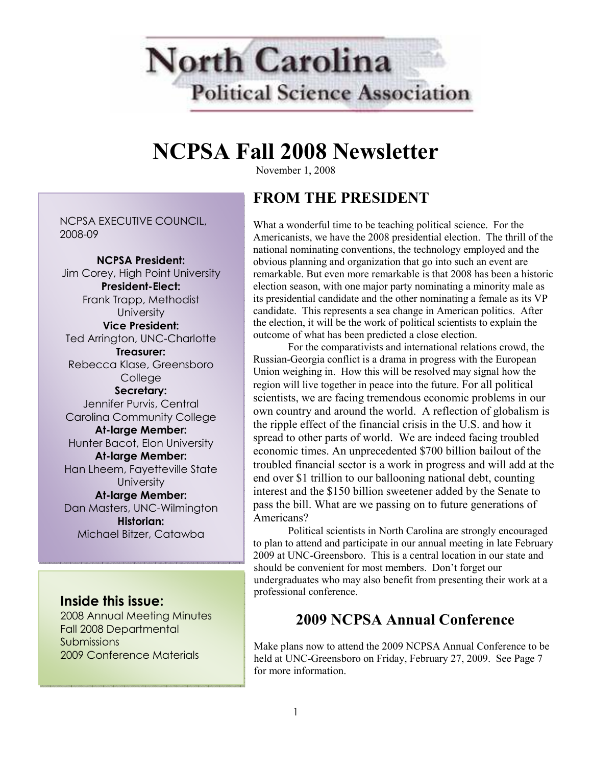

# NCPSA Fall 2008 Newsletter

November 1, 2008

# FROM THE PRESIDENT

NCPSA EXECUTIVE COUNCIL, 2008-09

NCPSA President: Jim Corey, High Point University President-Elect: Frank Trapp, Methodist **University** Vice President: Ted Arrington, UNC-Charlotte Treasurer: Rebecca Klase, Greensboro **College** Secretary: Jennifer Purvis, Central Carolina Community College At-large Member: Hunter Bacot, Elon University At-large Member: Han Lheem, Fayetteville State **University** At-large Member: Dan Masters, UNC-Wilmington Historian: Michael Bitzer, Catawba

### Inside this issue:

2008 Annual Meeting Minutes Fall 2008 Departmental Submissions 2009 Conference Materials

What a wonderful time to be teaching political science. For the Americanists, we have the 2008 presidential election. The thrill of the national nominating conventions, the technology employed and the obvious planning and organization that go into such an event are remarkable. But even more remarkable is that 2008 has been a historic election season, with one major party nominating a minority male as its presidential candidate and the other nominating a female as its VP candidate. This represents a sea change in American politics. After the election, it will be the work of political scientists to explain the outcome of what has been predicted a close election.

 For the comparativists and international relations crowd, the Russian-Georgia conflict is a drama in progress with the European Union weighing in. How this will be resolved may signal how the region will live together in peace into the future. For all political scientists, we are facing tremendous economic problems in our own country and around the world. A reflection of globalism is the ripple effect of the financial crisis in the U.S. and how it spread to other parts of world. We are indeed facing troubled economic times. An unprecedented \$700 billion bailout of the troubled financial sector is a work in progress and will add at the end over \$1 trillion to our ballooning national debt, counting interest and the \$150 billion sweetener added by the Senate to pass the bill. What are we passing on to future generations of Americans?

 Political scientists in North Carolina are strongly encouraged to plan to attend and participate in our annual meeting in late February 2009 at UNC-Greensboro. This is a central location in our state and should be convenient for most members. Don't forget our undergraduates who may also benefit from presenting their work at a professional conference.

# 2009 NCPSA Annual Conference

Make plans now to attend the 2009 NCPSA Annual Conference to be held at UNC-Greensboro on Friday, February 27, 2009. See Page 7 for more information.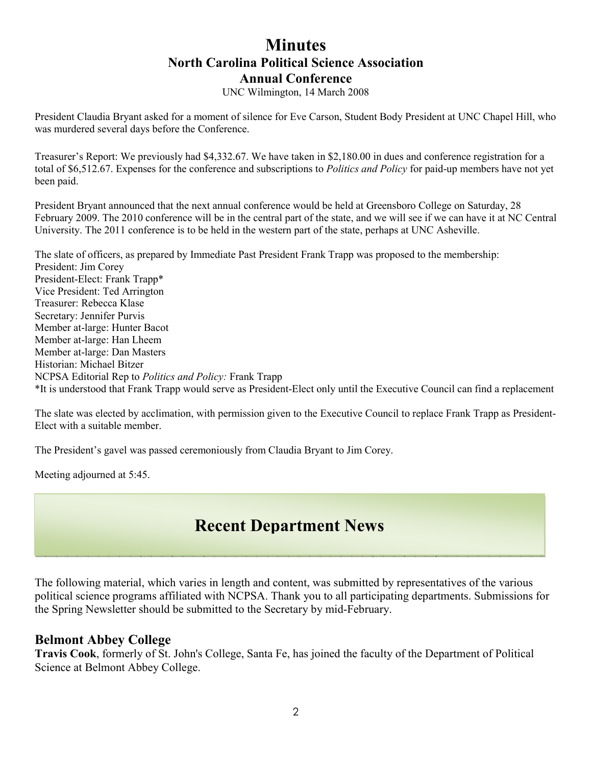## **Minutes** North Carolina Political Science Association Annual Conference

UNC Wilmington, 14 March 2008

President Claudia Bryant asked for a moment of silence for Eve Carson, Student Body President at UNC Chapel Hill, who was murdered several days before the Conference.

Treasurer's Report: We previously had \$4,332.67. We have taken in \$2,180.00 in dues and conference registration for a total of \$6,512.67. Expenses for the conference and subscriptions to *Politics and Policy* for paid-up members have not yet been paid.

President Bryant announced that the next annual conference would be held at Greensboro College on Saturday, 28 February 2009. The 2010 conference will be in the central part of the state, and we will see if we can have it at NC Central University. The 2011 conference is to be held in the western part of the state, perhaps at UNC Asheville.

The slate of officers, as prepared by Immediate Past President Frank Trapp was proposed to the membership: President: Jim Corey President-Elect: Frank Trapp\* Vice President: Ted Arrington Treasurer: Rebecca Klase Secretary: Jennifer Purvis Member at-large: Hunter Bacot Member at-large: Han Lheem Member at-large: Dan Masters Historian: Michael Bitzer NCPSA Editorial Rep to Politics and Policy: Frank Trapp \*It is understood that Frank Trapp would serve as President-Elect only until the Executive Council can find a replacement

The slate was elected by acclimation, with permission given to the Executive Council to replace Frank Trapp as President-Elect with a suitable member.

The President's gavel was passed ceremoniously from Claudia Bryant to Jim Corey.

Meeting adjourned at 5:45.

# Recent Department News

The following material, which varies in length and content, was submitted by representatives of the various political science programs affiliated with NCPSA. Thank you to all participating departments. Submissions for the Spring Newsletter should be submitted to the Secretary by mid-February.

#### Belmont Abbey College

Travis Cook, formerly of St. John's College, Santa Fe, has joined the faculty of the Department of Political Science at Belmont Abbey College.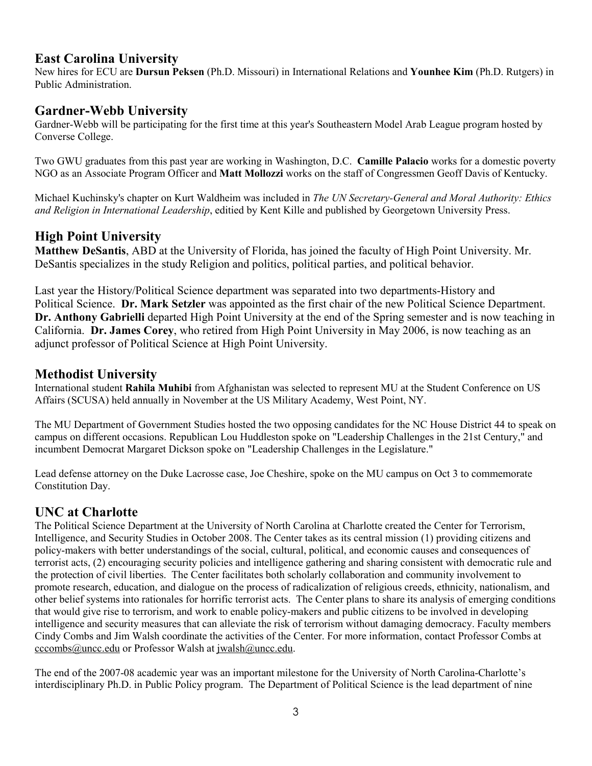### East Carolina University

New hires for ECU are Dursun Peksen (Ph.D. Missouri) in International Relations and Younhee Kim (Ph.D. Rutgers) in Public Administration.

### Gardner-Webb University

Gardner-Webb will be participating for the first time at this year's Southeastern Model Arab League program hosted by Converse College.

Two GWU graduates from this past year are working in Washington, D.C. Camille Palacio works for a domestic poverty NGO as an Associate Program Officer and Matt Mollozzi works on the staff of Congressmen Geoff Davis of Kentucky.

Michael Kuchinsky's chapter on Kurt Waldheim was included in The UN Secretary-General and Moral Authority: Ethics and Religion in International Leadership, editied by Kent Kille and published by Georgetown University Press.

## High Point University

Matthew DeSantis, ABD at the University of Florida, has joined the faculty of High Point University. Mr. DeSantis specializes in the study Religion and politics, political parties, and political behavior.

Last year the History/Political Science department was separated into two departments-History and Political Science. Dr. Mark Setzler was appointed as the first chair of the new Political Science Department. Dr. Anthony Gabrielli departed High Point University at the end of the Spring semester and is now teaching in California. Dr. James Corey, who retired from High Point University in May 2006, is now teaching as an adjunct professor of Political Science at High Point University.

## Methodist University

International student Rahila Muhibi from Afghanistan was selected to represent MU at the Student Conference on US Affairs (SCUSA) held annually in November at the US Military Academy, West Point, NY.

The MU Department of Government Studies hosted the two opposing candidates for the NC House District 44 to speak on campus on different occasions. Republican Lou Huddleston spoke on "Leadership Challenges in the 21st Century," and incumbent Democrat Margaret Dickson spoke on "Leadership Challenges in the Legislature."

Lead defense attorney on the Duke Lacrosse case, Joe Cheshire, spoke on the MU campus on Oct 3 to commemorate Constitution Day.

## UNC at Charlotte

The Political Science Department at the University of North Carolina at Charlotte created the Center for Terrorism, Intelligence, and Security Studies in October 2008. The Center takes as its central mission (1) providing citizens and policy-makers with better understandings of the social, cultural, political, and economic causes and consequences of terrorist acts, (2) encouraging security policies and intelligence gathering and sharing consistent with democratic rule and the protection of civil liberties. The Center facilitates both scholarly collaboration and community involvement to promote research, education, and dialogue on the process of radicalization of religious creeds, ethnicity, nationalism, and other belief systems into rationales for horrific terrorist acts. The Center plans to share its analysis of emerging conditions that would give rise to terrorism, and work to enable policy-makers and public citizens to be involved in developing intelligence and security measures that can alleviate the risk of terrorism without damaging democracy. Faculty members Cindy Combs and Jim Walsh coordinate the activities of the Center. For more information, contact Professor Combs at cccombs@uncc.edu or Professor Walsh at jwalsh@uncc.edu.

The end of the 2007-08 academic year was an important milestone for the University of North Carolina-Charlotte's interdisciplinary Ph.D. in Public Policy program. The Department of Political Science is the lead department of nine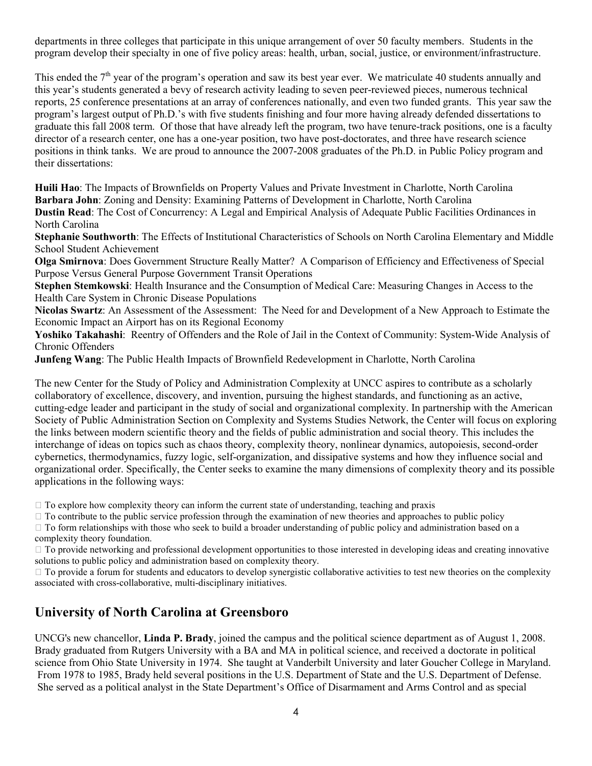departments in three colleges that participate in this unique arrangement of over 50 faculty members. Students in the program develop their specialty in one of five policy areas: health, urban, social, justice, or environment/infrastructure.

This ended the  $7<sup>th</sup>$  year of the program's operation and saw its best year ever. We matriculate 40 students annually and this year's students generated a bevy of research activity leading to seven peer-reviewed pieces, numerous technical reports, 25 conference presentations at an array of conferences nationally, and even two funded grants. This year saw the program's largest output of Ph.D.'s with five students finishing and four more having already defended dissertations to graduate this fall 2008 term. Of those that have already left the program, two have tenure-track positions, one is a faculty director of a research center, one has a one-year position, two have post-doctorates, and three have research science positions in think tanks. We are proud to announce the 2007-2008 graduates of the Ph.D. in Public Policy program and their dissertations:

Huili Hao: The Impacts of Brownfields on Property Values and Private Investment in Charlotte, North Carolina Barbara John: Zoning and Density: Examining Patterns of Development in Charlotte, North Carolina Dustin Read: The Cost of Concurrency: A Legal and Empirical Analysis of Adequate Public Facilities Ordinances in North Carolina

Stephanie Southworth: The Effects of Institutional Characteristics of Schools on North Carolina Elementary and Middle School Student Achievement

Olga Smirnova: Does Government Structure Really Matter? A Comparison of Efficiency and Effectiveness of Special Purpose Versus General Purpose Government Transit Operations

Stephen Stemkowski: Health Insurance and the Consumption of Medical Care: Measuring Changes in Access to the Health Care System in Chronic Disease Populations

Nicolas Swartz: An Assessment of the Assessment: The Need for and Development of a New Approach to Estimate the Economic Impact an Airport has on its Regional Economy

Yoshiko Takahashi: Reentry of Offenders and the Role of Jail in the Context of Community: System-Wide Analysis of Chronic Offenders

Junfeng Wang: The Public Health Impacts of Brownfield Redevelopment in Charlotte, North Carolina

The new Center for the Study of Policy and Administration Complexity at UNCC aspires to contribute as a scholarly collaboratory of excellence, discovery, and invention, pursuing the highest standards, and functioning as an active, cutting-edge leader and participant in the study of social and organizational complexity. In partnership with the American Society of Public Administration Section on Complexity and Systems Studies Network, the Center will focus on exploring the links between modern scientific theory and the fields of public administration and social theory. This includes the interchange of ideas on topics such as chaos theory, complexity theory, nonlinear dynamics, autopoiesis, second-order cybernetics, thermodynamics, fuzzy logic, self-organization, and dissipative systems and how they influence social and organizational order. Specifically, the Center seeks to examine the many dimensions of complexity theory and its possible applications in the following ways:

L To explore how complexity theory can inform the current state of understanding, teaching and praxis

L To contribute to the public service profession through the examination of new theories and approaches to public policy

L To form relationships with those who seek to build a broader understanding of public policy and administration based on a complexity theory foundation.

L To provide networking and professional development opportunities to those interested in developing ideas and creating innovative solutions to public policy and administration based on complexity theory.

L To provide a forum for students and educators to develop synergistic collaborative activities to test new theories on the complexity associated with cross-collaborative, multi-disciplinary initiatives.

#### University of North Carolina at Greensboro

UNCG's new chancellor, Linda P. Brady, joined the campus and the political science department as of August 1, 2008. Brady graduated from Rutgers University with a BA and MA in political science, and received a doctorate in political science from Ohio State University in 1974. She taught at Vanderbilt University and later Goucher College in Maryland. From 1978 to 1985, Brady held several positions in the U.S. Department of State and the U.S. Department of Defense. She served as a political analyst in the State Department's Office of Disarmament and Arms Control and as special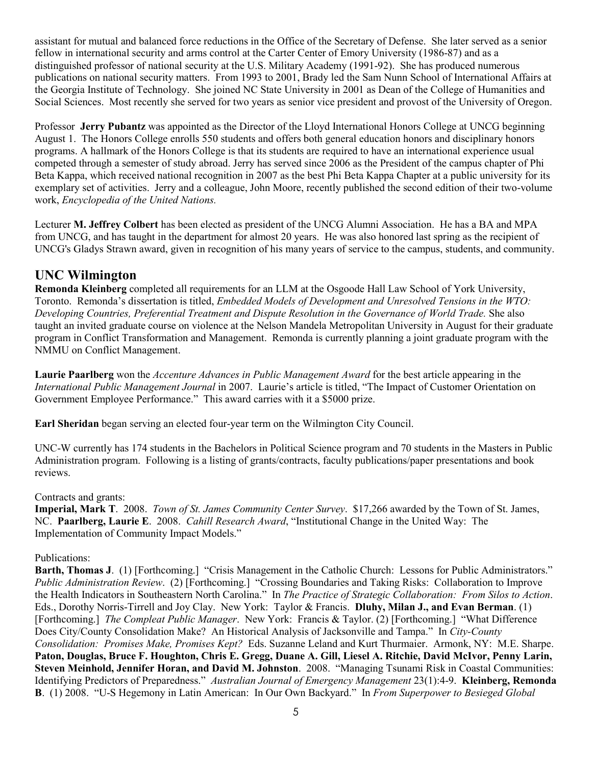assistant for mutual and balanced force reductions in the Office of the Secretary of Defense. She later served as a senior fellow in international security and arms control at the Carter Center of Emory University (1986-87) and as a distinguished professor of national security at the U.S. Military Academy (1991-92). She has produced numerous publications on national security matters. From 1993 to 2001, Brady led the Sam Nunn School of International Affairs at the Georgia Institute of Technology. She joined NC State University in 2001 as Dean of the College of Humanities and Social Sciences. Most recently she served for two years as senior vice president and provost of the University of Oregon.

Professor Jerry Pubantz was appointed as the Director of the Lloyd International Honors College at UNCG beginning August 1. The Honors College enrolls 550 students and offers both general education honors and disciplinary honors programs. A hallmark of the Honors College is that its students are required to have an international experience usual competed through a semester of study abroad. Jerry has served since 2006 as the President of the campus chapter of Phi Beta Kappa, which received national recognition in 2007 as the best Phi Beta Kappa Chapter at a public university for its exemplary set of activities. Jerry and a colleague, John Moore, recently published the second edition of their two-volume work, Encyclopedia of the United Nations.

Lecturer M. Jeffrey Colbert has been elected as president of the UNCG Alumni Association. He has a BA and MPA from UNCG, and has taught in the department for almost 20 years. He was also honored last spring as the recipient of UNCG's Gladys Strawn award, given in recognition of his many years of service to the campus, students, and community.

### UNC Wilmington

Remonda Kleinberg completed all requirements for an LLM at the Osgoode Hall Law School of York University, Toronto. Remonda's dissertation is titled, Embedded Models of Development and Unresolved Tensions in the WTO: Developing Countries, Preferential Treatment and Dispute Resolution in the Governance of World Trade. She also taught an invited graduate course on violence at the Nelson Mandela Metropolitan University in August for their graduate program in Conflict Transformation and Management. Remonda is currently planning a joint graduate program with the NMMU on Conflict Management.

Laurie Paarlberg won the *Accenture Advances in Public Management Award* for the best article appearing in the International Public Management Journal in 2007. Laurie's article is titled, "The Impact of Customer Orientation on Government Employee Performance." This award carries with it a \$5000 prize.

Earl Sheridan began serving an elected four-year term on the Wilmington City Council.

UNC-W currently has 174 students in the Bachelors in Political Science program and 70 students in the Masters in Public Administration program. Following is a listing of grants/contracts, faculty publications/paper presentations and book reviews.

#### Contracts and grants:

Imperial, Mark T. 2008. Town of St. James Community Center Survey. \$17,266 awarded by the Town of St. James, NC. Paarlberg, Laurie E. 2008. Cahill Research Award, "Institutional Change in the United Way: The Implementation of Community Impact Models."

#### Publications:

Barth, Thomas J. (1) [Forthcoming.] "Crisis Management in the Catholic Church: Lessons for Public Administrators." Public Administration Review. (2) [Forthcoming.] "Crossing Boundaries and Taking Risks: Collaboration to Improve the Health Indicators in Southeastern North Carolina." In The Practice of Strategic Collaboration: From Silos to Action. Eds., Dorothy Norris-Tirrell and Joy Clay. New York: Taylor & Francis. Dluhy, Milan J., and Evan Berman. (1) [Forthcoming.] The Compleat Public Manager. New York: Francis & Taylor. (2) [Forthcoming.] "What Difference Does City/County Consolidation Make? An Historical Analysis of Jacksonville and Tampa." In City-County Consolidation: Promises Make, Promises Kept? Eds. Suzanne Leland and Kurt Thurmaier. Armonk, NY: M.E. Sharpe. Paton, Douglas, Bruce F. Houghton, Chris E. Gregg, Duane A. Gill, Liesel A. Ritchie, David McIvor, Penny Larin, Steven Meinhold, Jennifer Horan, and David M. Johnston. 2008. "Managing Tsunami Risk in Coastal Communities: Identifying Predictors of Preparedness." Australian Journal of Emergency Management 23(1):4-9. Kleinberg, Remonda B. (1) 2008. "U-S Hegemony in Latin American: In Our Own Backyard." In From Superpower to Besieged Global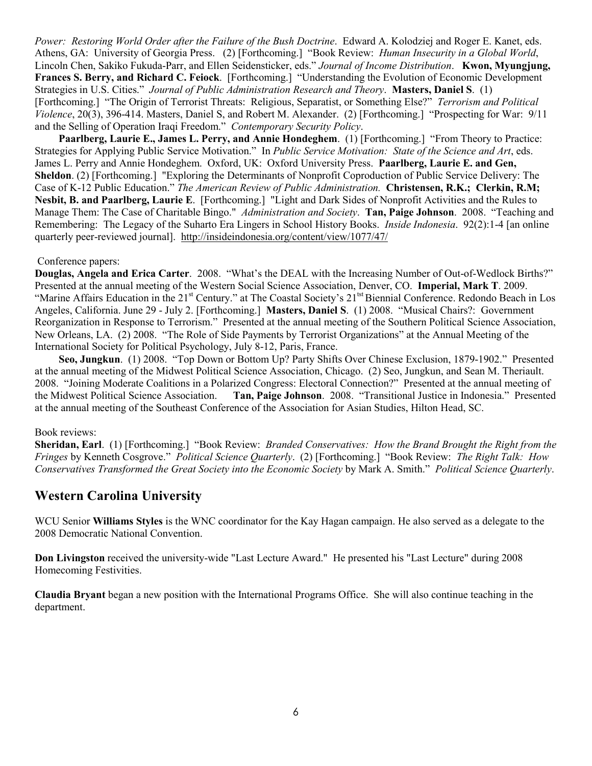Power: Restoring World Order after the Failure of the Bush Doctrine. Edward A. Kolodziej and Roger E. Kanet, eds. Athens, GA: University of Georgia Press. (2) [Forthcoming.] "Book Review: Human Insecurity in a Global World, Lincoln Chen, Sakiko Fukuda-Parr, and Ellen Seidensticker, eds." Journal of Income Distribution. **Kwon, Myungjung,** Frances S. Berry, and Richard C. Feiock. [Forthcoming.] "Understanding the Evolution of Economic Development Strategies in U.S. Cities." Journal of Public Administration Research and Theory. Masters, Daniel S. (1) [Forthcoming.] "The Origin of Terrorist Threats: Religious, Separatist, or Something Else?" Terrorism and Political Violence, 20(3), 396-414. Masters, Daniel S, and Robert M. Alexander. (2) [Forthcoming.] "Prospecting for War: 9/11 and the Selling of Operation Iraqi Freedom." Contemporary Security Policy.

Paarlberg, Laurie E., James L. Perry, and Annie Hondeghem. (1) [Forthcoming.] "From Theory to Practice: Strategies for Applying Public Service Motivation." In Public Service Motivation: State of the Science and Art, eds. James L. Perry and Annie Hondeghem. Oxford, UK: Oxford University Press. Paarlberg, Laurie E. and Gen, Sheldon. (2) [Forthcoming.] "Exploring the Determinants of Nonprofit Coproduction of Public Service Delivery: The Case of K-12 Public Education." The American Review of Public Administration. Christensen, R.K.; Clerkin, R.M; Nesbit, B. and Paarlberg, Laurie E. [Forthcoming.] "Light and Dark Sides of Nonprofit Activities and the Rules to Manage Them: The Case of Charitable Bingo." Administration and Society. Tan, Paige Johnson. 2008. "Teaching and Remembering: The Legacy of the Suharto Era Lingers in School History Books. Inside Indonesia. 92(2):1-4 [an online quarterly peer-reviewed journal]. http://insideindonesia.org/content/view/1077/47/

#### Conference papers:

Douglas, Angela and Erica Carter. 2008. "What's the DEAL with the Increasing Number of Out-of-Wedlock Births?" Presented at the annual meeting of the Western Social Science Association, Denver, CO. Imperial, Mark T. 2009. "Marine Affairs Education in the 21<sup>st</sup> Century." at The Coastal Society's 21<sup>tst</sup> Biennial Conference. Redondo Beach in Los Angeles, California. June 29 - July 2. [Forthcoming.] Masters, Daniel S. (1) 2008. "Musical Chairs?: Government Reorganization in Response to Terrorism." Presented at the annual meeting of the Southern Political Science Association, New Orleans, LA. (2) 2008. "The Role of Side Payments by Terrorist Organizations" at the Annual Meeting of the International Society for Political Psychology, July 8-12, Paris, France.

 Seo, Jungkun. (1) 2008. "Top Down or Bottom Up? Party Shifts Over Chinese Exclusion, 1879-1902." Presented at the annual meeting of the Midwest Political Science Association, Chicago. (2) Seo, Jungkun, and Sean M. Theriault. 2008. "Joining Moderate Coalitions in a Polarized Congress: Electoral Connection?" Presented at the annual meeting of the Midwest Political Science Association. Tan, Paige Johnson. 2008. "Transitional Justice in Indonesia." Presented at the annual meeting of the Southeast Conference of the Association for Asian Studies, Hilton Head, SC.

#### Book reviews:

Sheridan, Earl. (1) [Forthcoming.] "Book Review: *Branded Conservatives: How the Brand Brought the Right from the* Fringes by Kenneth Cosgrove." Political Science Quarterly. (2) [Forthcoming.] "Book Review: The Right Talk: How Conservatives Transformed the Great Society into the Economic Society by Mark A. Smith." Political Science Quarterly.

#### Western Carolina University

WCU Senior Williams Styles is the WNC coordinator for the Kay Hagan campaign. He also served as a delegate to the 2008 Democratic National Convention.

Don Livingston received the university-wide "Last Lecture Award." He presented his "Last Lecture" during 2008 Homecoming Festivities.

Claudia Bryant began a new position with the International Programs Office. She will also continue teaching in the department.